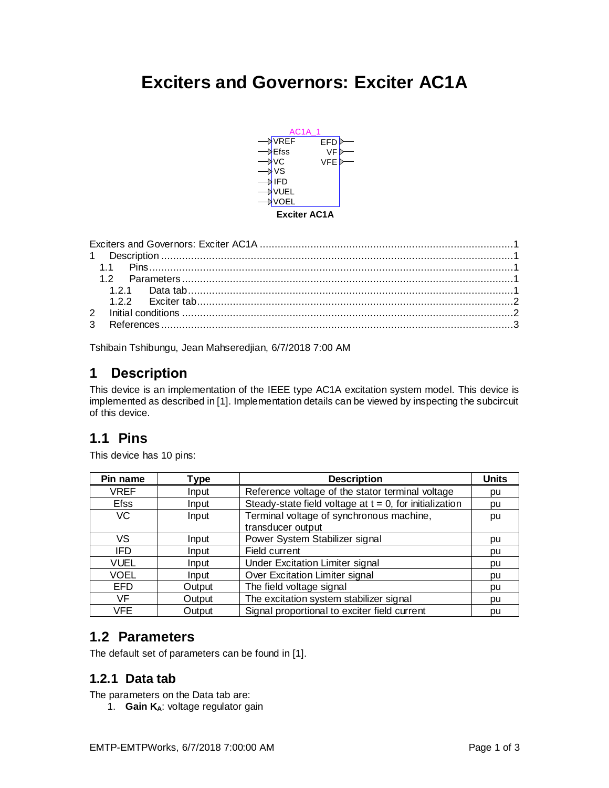# <span id="page-0-0"></span>**Exciters and Governors: Exciter AC1A**



<span id="page-0-1"></span>Tshibain Tshibungu, Jean Mahseredjian, 6/7/2018 7:00 AM

# **1 Description**

This device is an implementation of the IEEE type AC1A excitation system model. This device is implemented as described i[n \[1\].](#page-2-1) Implementation details can be viewed by inspecting the subcircuit of this device.

# <span id="page-0-2"></span>**1.1 Pins**

This device has 10 pins:

| Pin name    | Type   | <b>Description</b>                                         | <b>Units</b> |
|-------------|--------|------------------------------------------------------------|--------------|
| <b>VREF</b> | Input  | Reference voltage of the stator terminal voltage           | pu           |
| <b>Efss</b> | Input  | Steady-state field voltage at $t = 0$ , for initialization | pu           |
| <b>VC</b>   | Input  | Terminal voltage of synchronous machine,                   | pu           |
|             |        | transducer output                                          |              |
| VS          | Input  | Power System Stabilizer signal                             | pu           |
| IFD         | Input  | Field current                                              | pu           |
| <b>VUEL</b> | Input  | <b>Under Excitation Limiter signal</b>                     | pu           |
| VOEL        | Input  | Over Excitation Limiter signal                             | pu           |
| <b>EFD</b>  | Output | The field voltage signal                                   | pu           |
| VF          | Output | The excitation system stabilizer signal                    | bu           |
| VFE         | Output | Signal proportional to exciter field current               | pu           |

# <span id="page-0-3"></span>**1.2 Parameters**

<span id="page-0-4"></span>The default set of parameters can be found in [\[1\].](#page-2-1)

## **1.2.1 Data tab**

The parameters on the Data tab are:

1. **Gain KA**: voltage regulator gain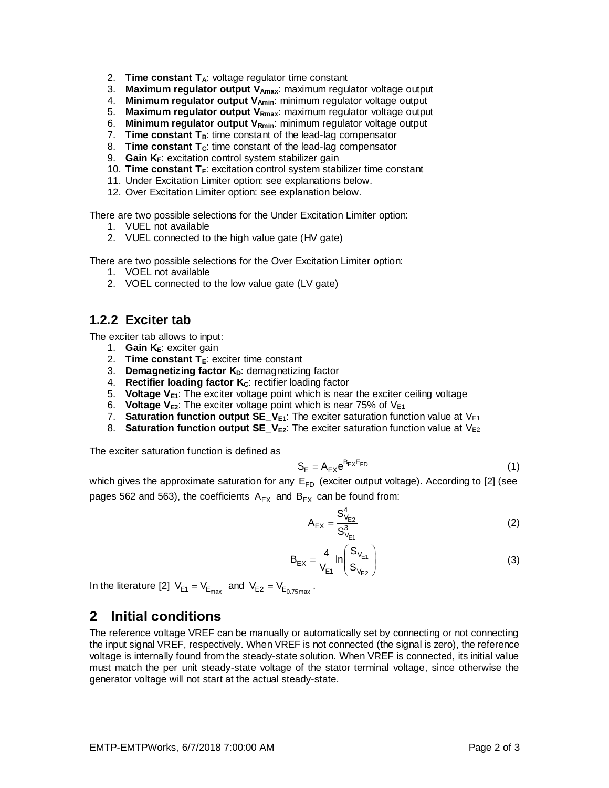- 2. **Time constant TA**: voltage regulator time constant
- 3. **Maximum regulator output VAmax**: maximum regulator voltage output
- 4. **Minimum regulator output VAmin**: minimum regulator voltage output
- 5. **Maximum regulator output VRmax**: maximum regulator voltage output
- 6. **Minimum regulator output VRmin**: minimum regulator voltage output
- 7. **Time constant TB**: time constant of the lead-lag compensator
- 8. **Time constant TC**: time constant of the lead-lag compensator
- 9. **Gain KF**: excitation control system stabilizer gain
- 10. **Time constant T<sub>F</sub>**: excitation control system stabilizer time constant
- 11. Under Excitation Limiter option: see explanations below.
- 12. Over Excitation Limiter option: see explanation below.

There are two possible selections for the Under Excitation Limiter option:

- 1. VUEL not available
- 2. VUEL connected to the high value gate (HV gate)

There are two possible selections for the Over Excitation Limiter option:

- 1. VOEL not available
- 2. VOEL connected to the low value gate (LV gate)

#### <span id="page-1-0"></span>**1.2.2 Exciter tab**

The exciter tab allows to input:

- 1. **Gain**  $K_E$ **: exciter gain**
- 2. **Time constant TE**: exciter time constant
- 3. **Demagnetizing factor K<sub>D</sub>:** demagnetizing factor
- 4. **Rectifier loading factor KC**: rectifier loading factor
- 5. **Voltage VE1**: The exciter voltage point which is near the exciter ceiling voltage
- 6. **Voltage VE2**: The exciter voltage point which is near 75% of VE1
- 7. **Saturation function output SE**  $V_{E1}$ **: The exciter saturation function value at V<sub>E1</sub>**
- 8. **Saturation function output SE\_V**<sub>E2</sub>: The exciter saturation function value at V<sub>E2</sub>

The exciter saturation function is defined as

$$
S_E = A_{EX} e^{B_{EX}E_{FD}} \tag{1}
$$

which gives the approximate saturation for any  $E_{FD}$  (exciter output voltage). According to [\[2\]](#page-2-2) (see pages 562 and 563), the coefficients  $A_{EX}$  and  $B_{EX}$  can be found from:

$$
A_{EX} = \frac{S_{V_{E2}}^4}{S_{V_{E1}}^3}
$$
 (2)

$$
B_{EX} = \frac{4}{V_{E1}} \ln \left( \frac{S_{V_{E1}}}{S_{V_{E2}}} \right)
$$
 (3)

<span id="page-1-1"></span>In the literature [\[2\]](#page-2-2)  $\text{V}_{\text{E1}} = \text{V}_{\text{E}_{\text{max}}}$  and  $\text{V}_{\text{E2}} = \text{V}_{\text{E}_{0.75\text{max}}}$ .

### **2 Initial conditions**

The reference voltage VREF can be manually or automatically set by connecting or not connecting the input signal VREF, respectively. When VREF is not connected (the signal is zero), the reference voltage is internally found from the steady-state solution. When VREF is connected, its initial value must match the per unit steady-state voltage of the stator terminal voltage, since otherwise the generator voltage will not start at the actual steady-state.